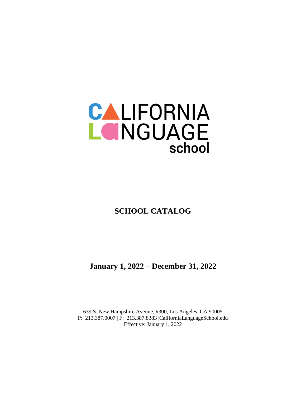

**SCHOOL CATALOG**

**January 1, 2022 – December 31, 2022**

639 S. New Hampshire Avenue, #300, Los Angeles, CA 90005 P: 213.387.0007 | F: 213.387.8383 |CaliforniaLanguageSchool.edu Effective: January 1, 2022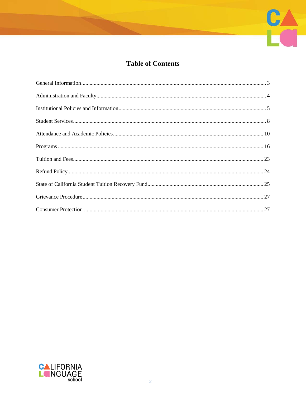

# **Table of Contents**

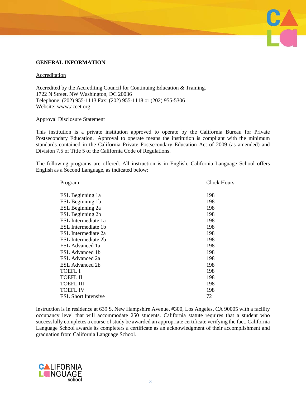## **GENERAL INFORMATION**

#### Accreditation

Accredited by the Accrediting Council for Continuing Education & Training. 1722 N Street, NW Washington, DC 20036 Telephone: (202) 955-1113 Fax: (202) 955-1118 or (202) 955-5306 Website: www.accet.org

#### Approval Disclosure Statement

This institution is a private institution approved to operate by the California Bureau for Private Postsecondary Education. Approval to operate means the institution is compliant with the minimum standards contained in the California Private Postsecondary Education Act of 2009 (as amended) and Division 7.5 of Title 5 of the California Code of Regulations.

**UA** 

The following programs are offered. All instruction is in English. California Language School offers English as a Second Language, as indicated below:

| <u>Program</u>             | <b>Clock Hours</b> |
|----------------------------|--------------------|
|                            |                    |
| ESL Beginning 1a           | 198                |
| ESL Beginning 1b           | 198                |
| ESL Beginning 2a           | 198                |
| ESL Beginning 2b           | 198                |
| ESL Intermediate 1a        | 198                |
| ESL Intermediate 1b        | 198                |
| ESL Intermediate 2a        | 198                |
| ESL Intermediate 2b        | 198                |
| ESL Advanced 1a            | 198                |
| ESL Advanced 1b            | 198                |
| ESL Advanced 2a            | 198                |
| ESL Advanced 2b            | 198                |
| <b>TOEFL I</b>             | 198                |
| TOEFL II                   | 198                |
| <b>TOEFL III</b>           | 198                |
| <b>TOEFL IV</b>            | 198                |
| <b>ESL</b> Short Intensive | 72                 |

Instruction is in residence at 639 S. New Hampshire Avenue, #300, Los Angeles, CA 90005 with a facility occupancy level that will accommodate 250 students. California statute requires that a student who successfully completes a course of study be awarded an appropriate certificate verifying the fact. California Language School awards its completers a certificate as an acknowledgment of their accomplishment and graduation from California Language School.

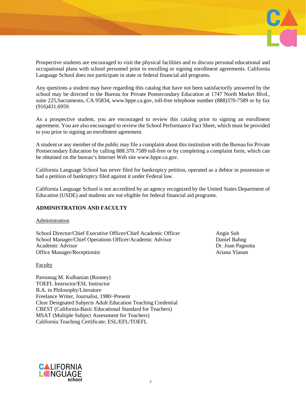

Prospective students are encouraged to visit the physical facilities and to discuss personal educational and occupational plans with school personnel prior to enrolling or signing enrollment agreements. California Language School does not participate in state or federal financial aid programs.

Any questions a student may have regarding this catalog that have not been satisfactorily answered by the school may be directed to the Bureau for Private Postsecondary Education at 1747 North Market Blvd., suite 225,Sacramento, CA 95834, [www.bppe.ca.gov,](http://www.bppe.ca.gov/) toll-free telephone number (888)370-7589 or by fax (916)431.6959.

As a prospective student, you are encouraged to review this catalog prior to signing an enrollment agreement. You are also encouraged to review the School Performance Fact Sheet, which must be provided to you prior to signing an enrollment agreement.

A student or any member of the public may file a complaint about this institution with the Bureau for Private Postsecondary Education by calling 888.370.7589 toll-free or by completing a complaint form, which can be obtained on the bureau's Internet Web site [www.bppe.ca.gov.](http://www.bppe.ca.gov/)

California Language School has never filed for bankruptcy petition, operated as a debtor in possession or had a petition of bankruptcy filed against it under Federal law.

California Language School is not accredited by an agency recognized by the United States Department of Education (USDE) and students are not eligible for federal financial aid programs.

# **ADMINISTRATION AND FACULTY**

#### Administration

School Director/Chief Executive Officer/Chief Academic Officer Angie Suh School Manager/Chief Operations Officer/Academic Advisor Daniel Bahng Academic Advisor **Dr. Joan Pagnotta** Office Manager/Receptionist and a settlement of the Ariana Ylanan Ylanan

## Faculty

Parounag M. Kulhanian (Rooney) TOEFL Instructor/ESL Instructor B.A. in Philosophy/Literature Freelance Writer, Journalist, 1980~Present Clear Designated Subjects Adult Education Teaching Credential CBEST (California-Basic Educational Standard for Teachers) MSAT (Multiple Subject Assessment for Teachers) California Teaching Certificate; ESL/EFL/TOEFL

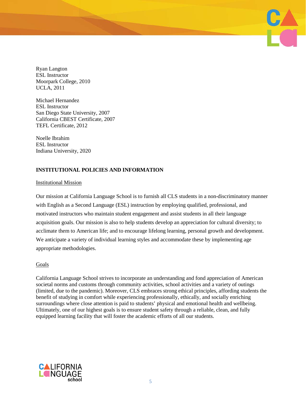Ryan Langton ESL Instructor Moorpark College, 2010 UCLA, 2011

Michael Hernandez ESL Instructor San Diego State University, 2007 California CBEST Certificate, 2007 TEFL Certificate, 2012

Noelle Ibrahim ESL Instructor Indiana University, 2020

# **INSTITUTIONAL POLICIES AND INFORMATION**

#### Institutional Mission

Our mission at California Language School is to furnish all CLS students in a non-discriminatory manner with English as a Second Language (ESL) instruction by employing qualified, professional, and motivated instructors who maintain student engagement and assist students in all their language acquisition goals. Our mission is also to help students develop an appreciation for cultural diversity; to acclimate them to American life; and to encourage lifelong learning, personal growth and development. We anticipate a variety of individual learning styles and accommodate these by implementing age appropriate methodologies.

## Goals

California Language School strives to incorporate an understanding and fond appreciation of American societal norms and customs through community activities, school activities and a variety of outings (limited, due to the pandemic). Moreover, CLS embraces strong ethical principles, affording students the benefit of studying in comfort while experiencing professionally, ethically, and socially enriching surroundings where close attention is paid to students' physical and emotional health and wellbeing. Ultimately, one of our highest goals is to ensure student safety through a reliable, clean, and fully equipped learning facility that will foster the academic efforts of all our students.

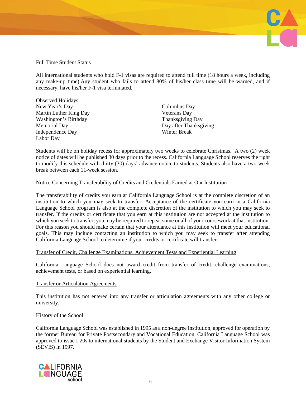# Full Time Student Status

All international students who hold F-1 visas are required to attend full time (18 hours a week, including any make-up time).Any student who fails to attend 80% of his/her class time will be warned, and if necessary, have his/her F-1 visa terminated.

| <b>Observed Holidays</b> |                         |
|--------------------------|-------------------------|
| New Year's Day           | Columbus Day            |
| Martin Luther King Day   | <b>Veterans</b> Day     |
| Washington's Birthday    | <b>Thanksgiving Day</b> |
| <b>Memorial Day</b>      | Day after Thanksgiving  |
| Independence Day         | Winter Break            |
| Labor Day                |                         |

Students will be on holiday recess for approximately two weeks to celebrate Christmas. A two (2) week notice of dates will be published 30 days prior to the recess. California Language School reserves the right to modify this schedule with thirty (30) days' advance notice to students. Students also have a two-week break between each 11-week session.

## Notice Concerning Transferability of Credits and Credentials Earned at Our Institution

The transferability of credits you earn at California Language School is at the complete discretion of an institution to which you may seek to transfer. Acceptance of the certificate you earn in a California Language School program is also at the complete discretion of the institution to which you may seek to transfer. If the credits or certificate that you earn at this institution are not accepted at the institution to which you seek to transfer, you may be required to repeat some or all of your coursework at that institution. For this reason you should make certain that your attendance at this institution will meet your educational goals. This may include contacting an institution to which you may seek to transfer after attending California Language School to determine if your credits or certificate will transfer.

## Transfer of Credit, Challenge Examinations, Achievement Tests and Experiential Learning

California Language School does not award credit from transfer of credit, challenge examinations, achievement tests, or based on experiential learning.

## Transfer or Articulation Agreements

This institution has not entered into any transfer or articulation agreements with any other college or university.

## History of the School

California Language School was established in 1995 as a non-degree institution, approved for operation by the former Bureau for Private Postsecondary and Vocational Education. California Language School was approved to issue I-20s to international students by the Student and Exchange Visitor Information System (SEVIS) in 1997.

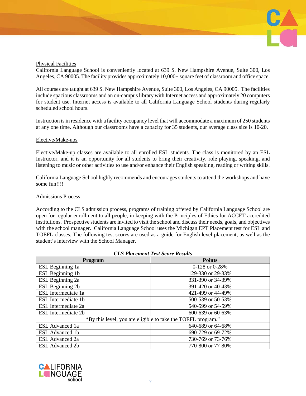

## Physical Facilities

California Language School is conveniently located at 639 S. New Hampshire Avenue, Suite 300, Los Angeles, CA 90005. The facility provides approximately 10,000+ square feet of classroom and office space.

All courses are taught at 639 S. New Hampshire Avenue, Suite 300, Los Angeles, CA 90005. The facilities include spacious classrooms and an on-campus library with Internet access and approximately 20 computers for student use. Internet access is available to all California Language School students during regularly scheduled school hours.

Instruction is in residence with a facility occupancy level that will accommodate a maximum of 250 students at any one time. Although our classrooms have a capacity for 35 students, our average class size is 10-20.

#### Elective/Make-ups

Elective/Make-up classes are available to all enrolled ESL students. The class is monitored by an ESL Instructor, and it is an opportunity for all students to bring their creativity, role playing, speaking, and listening to music or other activities to use and/or enhance their English speaking, reading or writing skills.

California Language School highly recommends and encourages students to attend the workshops and have some fun!!!!

## Admissions Process

According to the CLS admission process, programs of training offered by California Language School are open for regular enrollment to all people, in keeping with the Principles of Ethics for ACCET accredited institutions. Prospective students are invited to visit the school and discuss their needs, goals, and objectives with the school manager. California Language School uses the Michigan EPT Placement test for ESL and TOEFL classes. The following test scores are used as a guide for English level placement, as well as the student's interview with the School Manager.

| <b>Program</b>                                               | <b>Points</b>     |  |  |
|--------------------------------------------------------------|-------------------|--|--|
| ESL Beginning 1a                                             | 0-128 or 0-28%    |  |  |
| ESL Beginning 1b                                             | 129-330 or 29-33% |  |  |
| ESL Beginning 2a                                             | 331-390 or 34-39% |  |  |
| ESL Beginning 2b                                             | 391-420 or 40-43% |  |  |
| ESL Intermediate 1a                                          | 421-499 or 44-49% |  |  |
| ESL Intermediate 1b                                          | 500-539 or 50-53% |  |  |
| ESL Intermediate 2a                                          | 540-599 or 54-59% |  |  |
| ESL Intermediate 2b                                          | 600-639 or 60-63% |  |  |
| *By this level, you are eligible to take the TOEFL program." |                   |  |  |
| ESL Advanced 1a                                              | 640-689 or 64-68% |  |  |
| <b>ESL Advanced 1b</b>                                       | 690-729 or 69-72% |  |  |
| <b>ESL</b> Advanced 2a                                       | 730-769 or 73-76% |  |  |
| <b>ESL Advanced 2b</b>                                       | 770-800 or 77-80% |  |  |

#### *CLS Placement Test Score Results*

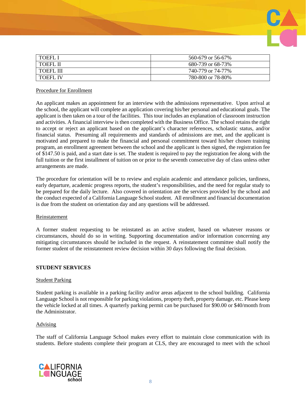

| <b>I TOEFL I</b> | 560-679 or 56-67% |
|------------------|-------------------|
| I TOEFL II       | 680-739 or 68-73% |
| <b>TOEFL III</b> | 740-779 or 74-77% |
| <b>TOEFL IV</b>  | 780-800 or 78-80% |

## Procedure for Enrollment

An applicant makes an appointment for an interview with the admissions representative. Upon arrival at the school, the applicant will complete an application covering his/her personal and educational goals. The applicant is then taken on a tour of the facilities. This tour includes an explanation of classroom instruction and activities. A financial interview is then completed with the Business Office. The school retains the right to accept or reject an applicant based on the applicant's character references, scholastic status, and/or financial status. Presuming all requirements and standards of admissions are met, and the applicant is motivated and prepared to make the financial and personal commitment toward his/her chosen training program, an enrollment agreement between the school and the applicant is then signed, the registration fee of \$147.50 is paid, and a start date is set. The student is required to pay the registration fee along with the full tuition or the first installment of tuition on or prior to the seventh consecutive day of class unless other arrangements are made.

The procedure for orientation will be to review and explain academic and attendance policies, tardiness, early departure, academic progress reports, the student's responsibilities, and the need for regular study to be prepared for the daily lecture. Also covered in orientation are the services provided by the school and the conduct expected of a California Language School student. All enrollment and financial documentation is due from the student on orientation day and any questions will be addressed.

#### Reinstatement

A former student requesting to be reinstated as an active student, based on whatever reasons or circumstances, should do so in writing. Supporting documentation and/or information concerning any mitigating circumstances should be included in the request. A reinstatement committee shall notify the former student of the reinstatement review decision within 30 days following the final decision.

## **STUDENT SERVICES**

#### Student Parking

Student parking is available in a parking facility and/or areas adjacent to the school building. California Language School is not responsible for parking violations, property theft, property damage, etc. Please keep the vehicle locked at all times. A quarterly parking permit can be purchased for \$90.00 or \$40/month from the Administrator.

## Advising

The staff of California Language School makes every effort to maintain close communication with its students. Before students complete their program at CLS, they are encouraged to meet with the school

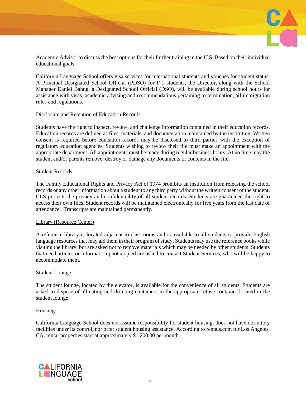

Academic Advisor to discuss the best options for their further training in the U.S. Based on their individual educational goals.

California Language School offers visa services for international students and vouches for student status. A Principal Designated School Official (PDSO) for F-1 students, the Director, along with the School Manager Daniel Bahng, a Designated School Official (DSO), will be available during school hours for assistance with visas, academic advising and recommendations pertaining to termination, all immigration rules and regulations.

## Disclosure and Retention of Education Records

Students have the right to inspect, review, and challenge information contained in their education records. Education records are defined as files, materials, and documentation maintained by the institution. Written consent is required before education records may be disclosed to third parties with the exception of regulatory education agencies. Students wishing to review their file must make an appointment with the appropriate department. All appointments must be made during regular business hours. At no time may the student and/or parents remove, destroy or damage any documents or contents in the file.

#### Student Records

The Family Educational Rights and Privacy Act of 1974 prohibits an institution from releasing the school records or any other information about a student to any third party without the written consent of the student. CLS protects the privacy and confidentiality of all student records. Students are guaranteed the right to access their own files. Student records will be maintained electronically for five years from the last date of attendance. Transcripts are maintained permanently.

## Library (Resource Center)

A reference library is located adjacent to classrooms and is available to all students to provide English language resources that may aid them in their program of study. Students may use the reference books while visiting the library, but are asked not to remove materials which may be needed by other students. Students that need articles or information photocopied are asked to contact Student Services, who will be happy to accommodate them.

#### Student Lounge

The student lounge, located by the elevator, is available for the convenience of all students. Students are asked to dispose of all eating and drinking containers in the appropriate refuse container located in the student lounge.

## Housing

California Language School does not assume responsibility for student housing, does not have dormitory facilities under its control, nor offer student housing assistance. According to rentals.com for Los Angeles, CA, rental properties start at approximately \$1,200.00 per month.

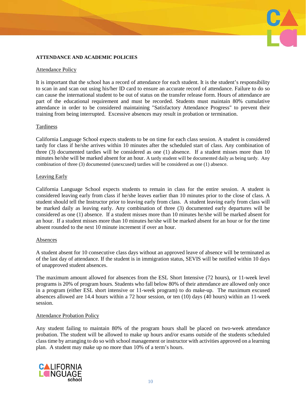## **ATTENDANCE AND ACADEMIC POLICIES**

#### Attendance Policy

It is important that the school has a record of attendance for each student. It is the student's responsibility to scan in and scan out using his/her ID card to ensure an accurate record of attendance. Failure to do so can cause the international student to be out of status on the transfer release form. Hours of attendance are part of the educational requirement and must be recorded. Students must maintain 80% cumulative attendance in order to be considered maintaining "Satisfactory Attendance Progress" to prevent their training from being interrupted. Excessive absences may result in probation or termination.

## **Tardiness**

California Language School expects students to be on time for each class session. A student is considered tardy for class if he/she arrives within 10 minutes after the scheduled start of class. Any combination of three (3) documented tardies will be considered as one (1) absence. If a student misses more than 10 minutes he/she will be marked absent for an hour. A tardy student will be documented daily as being tardy. Any combination of three (3) documented (unexcused) tardies will be considered as one (1) absence.

#### Leaving Early

California Language School expects students to remain in class for the entire session. A student is considered leaving early from class if he/she leaves earlier than 10 minutes prior to the close of class. A student should tell the Instructor prior to leaving early from class. A student leaving early from class will be marked daily as leaving early. Any combination of three (3) documented early departures will be considered as one (1) absence. If a student misses more than 10 minutes he/she will be marked absent for an hour. If a student misses more than 10 minutes he/she will be marked absent for an hour or for the time absent rounded to the next 10 minute increment if over an hour.

#### Absences

A student absent for 10 consecutive class days without an approved leave of absence will be terminated as of the last day of attendance. If the student is in immigration status, SEVIS will be notified within 10 days of unapproved student absences.

The maximum amount allowed for absences from the ESL Short Intensive (72 hours), or 11-week level programs is 20% of program hours. Students who fall below 80% of their attendance are allowed only once in a program (either ESL short intensive or 11-week program) to do make-up. The maximum excused absences allowed are 14.4 hours within a 72 hour session, or ten (10) days (40 hours) within an 11-week session.

#### Attendance Probation Policy

Any student failing to maintain 80% of the program hours shall be placed on two-week attendance probation. The student will be allowed to make up hours and/or exams outside of the students scheduled class time by arranging to do so with school management or instructor with activities approved on a learning plan. A student may make up no more than 10% of a term's hours.

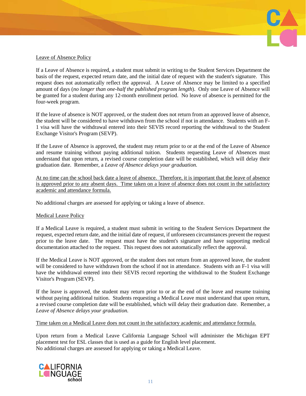

# Leave of Absence Policy

If a Leave of Absence is required, a student must submit in writing to the Student Services Department the basis of the request, expected return date, and the initial date of request with the student's signature. This request does not automatically reflect the approval. A Leave of Absence may be limited to a specified amount of days (*no longer than one-half the published program length*). Only one Leave of Absence will be granted for a student during any 12-month enrollment period. No leave of absence is permitted for the four-week program.

If the leave of absence is NOT approved, or the student does not return from an approved leave of absence, the student will be considered to have withdrawn from the school if not in attendance. Students with an F-1 visa will have the withdrawal entered into their SEVIS record reporting the withdrawal to the Student Exchange Visitor's Program (SEVP).

If the Leave of Absence is approved, the student may return prior to or at the end of the Leave of Absence and resume training without paying additional tuition. Students requesting Leave of Absences must understand that upon return, a revised course completion date will be established, which will delay their graduation date. Remember, a *Leave of Absence delays your graduation.*

At no time can the school back date a leave of absence. Therefore, it is important that the leave of absence is approved prior to any absent days. Time taken on a leave of absence does not count in the satisfactory academic and attendance formula.

No additional charges are assessed for applying or taking a leave of absence.

# Medical Leave Policy

If a Medical Leave is required, a student must submit in writing to the Student Services Department the request, expected return date, and the initial date of request, if unforeseen circumstances prevent the request prior to the leave date. The request must have the student's signature and have supporting medical documentation attached to the request. This request does not automatically reflect the approval.

If the Medical Leave is NOT approved, or the student does not return from an approved leave, the student will be considered to have withdrawn from the school if not in attendance. Students with an F-1 visa will have the withdrawal entered into their SEVIS record reporting the withdrawal to the Student Exchange Visitor's Program (SEVP).

If the leave is approved, the student may return prior to or at the end of the leave and resume training without paying additional tuition. Students requesting a Medical Leave must understand that upon return, a revised course completion date will be established, which will delay their graduation date. Remember, a *Leave of Absence delays your graduation.*

Time taken on a Medical Leave does not count in the satisfactory academic and attendance formula.

Upon return from a Medical Leave California Language School will administer the Michigan EPT placement test for ESL classes that is used as a guide for English level placement. No additional charges are assessed for applying or taking a Medical Leave.

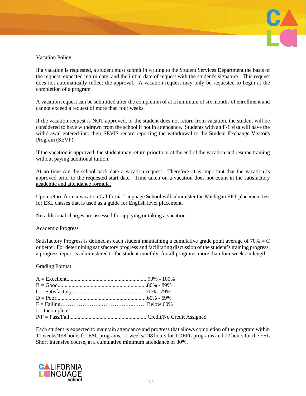

# Vacation Policy

If a vacation is requested, a student must submit in writing to the Student Services Department the basis of the request, expected return date, and the initial date of request with the student's signature. This request does not automatically reflect the approval. A vacation request may only be requested to begin at the completion of a program.

A vacation request can be submitted after the completion of at a minimum of six months of enrollment and cannot exceed a request of more than four weeks.

If the vacation request is NOT approved, or the student does not return from vacation, the student will be considered to have withdrawn from the school if not in attendance. Students with an F-1 visa will have the withdrawal entered into their SEVIS record reporting the withdrawal to the Student Exchange Visitor's Program (SEVP).

If the vacation is approved, the student may return prior to or at the end of the vacation and resume training without paying additional tuition.

At no time can the school back date a vacation request. Therefore, it is important that the vacation is approved prior to the requested start date. Time taken on a vacation does not count in the satisfactory academic and attendance formula.

Upon return from a vacation California Language School will administer the Michigan EPT placement test for ESL classes that is used as a guide for English level placement.

No additional charges are assessed for applying or taking a vacation.

#### Academic Progress

Satisfactory Progress is defined as each student maintaining a cumulative grade point average of  $70\% = C$ or better. For determining satisfactory progress and facilitating discussion of the student's training progress, a progress report is administered to the student monthly, for all programs more than four weeks in length.

#### Grading Format

| $I = Incomplete$ |  |
|------------------|--|
|                  |  |

Each student is expected to maintain attendance and progress that allows completion of the program within 11 weeks/198 hours for ESL programs, 11 weeks/198 hours for TOEFL programs and 72 hours for the ESL Short Intensive course, at a cumulative minimum attendance of 80%.

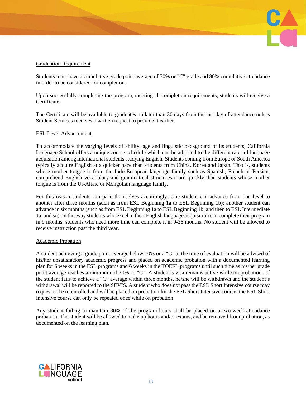# Graduation Requirement

Students must have a cumulative grade point average of 70% or "C" grade and 80% cumulative attendance in order to be considered for completion.

Upon successfully completing the program, meeting all completion requirements, students will receive a Certificate.

The Certificate will be available to graduates no later than 30 days from the last day of attendance unless Student Services receives a written request to provide it earlier.

#### ESL Level Advancement

To accommodate the varying levels of ability, age and linguistic background of its students, California Language School offers a unique course schedule which can be adjusted to the different rates of language acquisition among international students studying English. Students coming from Europe or South America typically acquire English at a quicker pace than students from China, Korea and Japan. That is, students whose mother tongue is from the Indo-European language family such as Spanish, French or Persian, comprehend English vocabulary and grammatical structures more quickly than students whose mother tongue is from the Ur-Altaic or Mongolian language family.

For this reason students can pace themselves accordingly. One student can advance from one level to another after three months (such as from ESL Beginning 1a to ESL Beginning 1b); another student can advance in six months (such as from ESL Beginning 1a to ESL Beginning 1b, and then to ESL Intermediate 1a, and so). In this way students who excel in their English language acquisition can complete their program in 9 months; students who need more time can complete it in 9-36 months. No student will be allowed to receive instruction past the third year.

## Academic Probation

A student achieving a grade point average below 70% or a "C" at the time of evaluation will be advised of his/her unsatisfactory academic progress and placed on academic probation with a documented learning plan for 6 weeks in the ESL programs and 6 weeks in the TOEFL programs until such time as his/her grade point average reaches a minimum of 70% or "C". A student's visa remains active while on probation. If the student fails to achieve a "C" average within three months, he/she will be withdrawn and the student's withdrawal will be reported to the SEVIS. A student who does not pass the ESL Short Intensive course may request to be re-enrolled and will be placed on probation for the ESL Short Intensive course; the ESL Short Intensive course can only be repeated once while on probation.

Any student failing to maintain 80% of the program hours shall be placed on a two-week attendance probation. The student will be allowed to make up hours and/or exams, and be removed from probation, as documented on the learning plan.

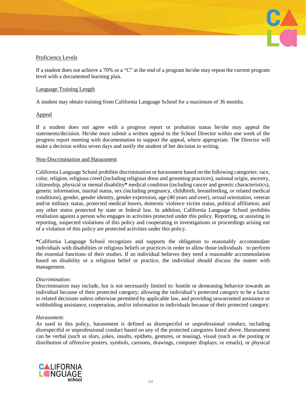

# Proficiency Levels

If a student does not achieve a 70% or a "C" at the end of a program he/she may repeat the current program level with a documented learning plan.

## Language Training Length

A student may obtain training from California Language School for a maximum of 36 months.

## Appeal

If a student does not agree with a progress report or probation status he/she may appeal the statements/decision. He/she must submit a written appeal to the School Director within one week of the progress report meeting with documentation to support the appeal, where appropriate. The Director will make a decision within seven days and notify the student of her decision in writing.

## Non-Discrimination and Harassment

California Language School prohibits discrimination or harassment based on the following categories: race, color, religion, religious creed (including religious dress and grooming practices), national origin, ancestry, citizenship, physical or mental disability**\*** medical condition (including cancer and genetic characteristics), genetic information, marital status, sex (including pregnancy, childbirth, breastfeeding, or related medical conditions), gender, gender identity, gender expression, age (40 years and over), sexual orientation, veteran and/or military status, protected medical leaves, domestic violence victim status, political affiliation, and any other status protected by state or federal law. In addition, California Language School prohibits retaliation against a person who engages in activities protected under this policy. Reporting, or assisting in reporting, suspected violations of this policy and cooperating in investigations or proceedings arising out of a violation of this policy are protected activities under this policy.

**\***California Language School recognizes and supports the obligation to reasonably accommodate individuals with disabilities or religious beliefs or practices in order to allow those individuals to perform the essential functions of their studies. If an individual believes they need a reasonable accommodation based on disability or a religious belief or practice, the individual should discuss the matter with management.

## *Discrimination:*

Discrimination may include, but is not necessarily limited to: hostile or demeaning behavior towards an individual because of their protected category; allowing the individual's protected category to be a factor to related decisions unless otherwise permitted by applicable law, and providing unwarranted assistance or withholding assistance, cooperation, and/or information to individuals because of their protected category.

## *Harassment:*

As used in this policy, harassment is defined as disrespectful or unprofessional conduct, including disrespectful or unprofessional conduct based on any of the protected categories listed above. Harassment can be verbal (such as slurs, jokes, insults, epithets, gestures, or teasing), visual (such as the posting or distribution of offensive posters, symbols, cartoons, drawings, computer displays, or emails), or physical

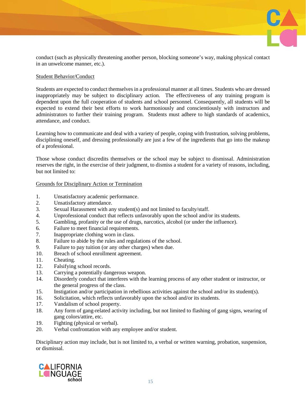

conduct (such as physically threatening another person, blocking someone's way, making physical contact in an unwelcome manner, etc.).

## Student Behavior/Conduct

Students are expected to conduct themselves in a professional manner at all times. Students who are dressed inappropriately may be subject to disciplinary action. The effectiveness of any training program is dependent upon the full cooperation of students and school personnel. Consequently, all students will be expected to extend their best efforts to work harmoniously and conscientiously with instructors and administrators to further their training program. Students must adhere to high standards of academics, attendance, and conduct.

Learning how to communicate and deal with a variety of people, coping with frustration, solving problems, disciplining oneself, and dressing professionally are just a few of the ingredients that go into the makeup of a professional.

Those whose conduct discredits themselves or the school may be subject to dismissal. Administration reserves the right, in the exercise of their judgment, to dismiss a student for a variety of reasons, including, but not limited to:

## Grounds for Disciplinary Action or Termination

- 1. Unsatisfactory academic performance.
- 2. Unsatisfactory attendance.
- 3. Sexual Harassment with any student(s) and not limited to faculty/staff.
- 4. Unprofessional conduct that reflects unfavorably upon the school and/or its students.
- 5. Gambling, profanity or the use of drugs, narcotics, alcohol (or under the influence).
- 6. Failure to meet financial requirements.
- 7. Inappropriate clothing worn in class.
- 8. Failure to abide by the rules and regulations of the school.
- 9. Failure to pay tuition (or any other charges) when due.
- 10. Breach of school enrollment agreement.
- 11. Cheating.
- 12. Falsifying school records.
- 13. Carrying a potentially dangerous weapon.
- 14. Disorderly conduct that interferes with the learning process of any other student or instructor, or the general progress of the class.
- 15. Instigation and/or participation in rebellious activities against the school and/or its student(s).
- 16. Solicitation, which reflects unfavorably upon the school and/or its students.
- 17. Vandalism of school property.
- 18. Any form of gang-related activity including, but not limited to flashing of gang signs, wearing of gang colors/attire, etc.
- 19. Fighting (physical or verbal).
- 20. Verbal confrontation with any employee and/or student.

Disciplinary action may include, but is not limited to, a verbal or written warning, probation, suspension, or dismissal.

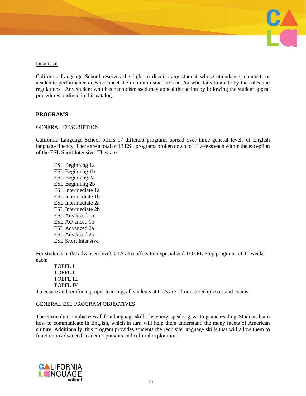

## Dismissal

California Language School reserves the right to dismiss any student whose attendance, conduct, or academic performance does not meet the minimum standards and/or who fails to abide by the rules and regulations. Any student who has been dismissed may appeal the action by following the student appeal procedures outlined in this catalog.

## **PROGRAMS**

#### GENERAL DESCRIPTION

California Language School offers 17 different programs spread over three general levels of English language fluency. There are a total of 13 ESL programs broken down to 11 weeks each within the exception of the ESL Short Intensive. They are:

ESL Beginning 1a ESL Beginning 1b ESL Beginning 2a ESL Beginning 2b ESL Intermediate 1a ESL Intermediate 1b ESL Intermediate 2a ESL Intermediate 2b ESL Advanced 1a ESL Advanced 1b ESL Advanced 2a ESL Advanced 2b ESL Short Intensive

For students in the advanced level, CLS also offers four specialized TOEFL Prep programs of 11 weeks each:

TOEFL I TOEFL II TOEFL III TOEFL IV

To ensure and reinforce proper learning, all students at CLS are administered quizzes and exams.

## GENERAL ESL PROGRAM OBJECTIVES

The curriculum emphasizes all four language skills: listening, speaking, writing, and reading. Students learn how to communicate in English, which in turn will help them understand the many facets of American culture. Additionally, this program provides students the requisite language skills that will allow them to function in advanced academic pursuits and cultural exploration.

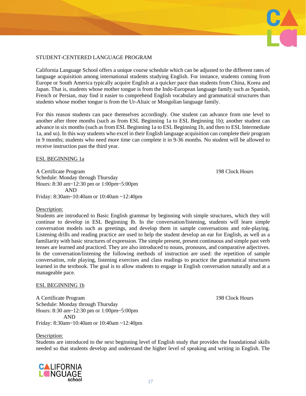## STUDENT-CENTERED LANGUAGE PROGRAM

California Language School offers a unique course schedule which can be adjusted to the different rates of language acquisition among international students studying English. For instance, students coming from Europe or South America typically acquire English at a quicker pace than students from China, Korea and Japan. That is, students whose mother tongue is from the Indo-European language family such as Spanish, French or Persian, may find it easier to comprehend English vocabulary and grammatical structures than students whose mother tongue is from the Ur-Altaic or Mongolian language family.

For this reason students can pace themselves accordingly. One student can advance from one level to another after three months (such as from ESL Beginning 1a to ESL Beginning 1b); another student can advance in six months (such as from ESL Beginning 1a to ESL Beginning 1b, and then to ESL Intermediate 1a, and so). In this way students who excel in their English language acquisition can complete their program in 9 months; students who need more time can complete it in 9-36 months. No student will be allowed to receive instruction past the third year.

## ESL BEGINNING 1a

A Certificate Program 198 Clock Hours Schedule: Monday through Thursday Hours: 8:30 am~12:30 pm or 1:00pm~5:00pm AND Friday: 8:30am~10:40am or 10:40am ~12:40pm

#### Description:

Students are introduced to Basic English grammar by beginning with simple structures, which they will continue to develop in ESL Beginning Ib. In the conversation/listening, students will learn simple conversation models such as greetings, and develop them in sample conversations and role-playing. Listening drills and reading practice are used to help the student develop an ear for English, as well as a familiarity with basic structures of expression. The simple present, present continuous and simple past verb tenses are learned and practiced. They are also introduced to nouns, pronouns, and comparative adjectives. In the conversation/listening the following methods of instruction are used: the repetition of sample conversation, role playing, listening exercises and class readings to practice the grammatical structures learned in the textbook. The goal is to allow students to engage in English conversation naturally and at a manageable pace.

#### ESL BEGINNING 1b

A Certificate Program 198 Clock Hours Schedule: Monday through Thursday Hours: 8:30 am~12:30 pm or 1:00pm~5:00pm AND

Friday: 8:30am~10:40am or 10:40am ~12:40pm

## Description:

Students are introduced to the next beginning level of English study that provides the foundational skills needed so that students develop and understand the higher level of speaking and writing in English. The

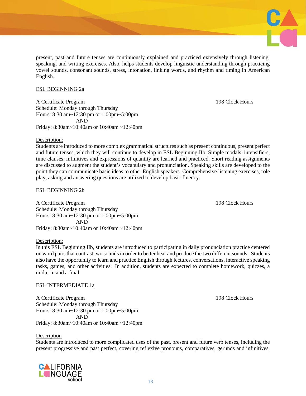present, past and future tenses are continuously explained and practiced extensively through listening, speaking, and writing exercises. Also, helps students develop linguistic understanding through practicing vowel sounds, consonant sounds, stress, intonation, linking words, and rhythm and timing in American English.

#### ESL BEGINNING 2a

A Certificate Program 198 Clock Hours Schedule: Monday through Thursday Hours: 8:30 am~12:30 pm or 1:00pm~5:00pm AND Friday: 8:30am~10:40am or 10:40am ~12:40pm

#### Description:

Students are introduced to more complex grammatical structures such as present continuous, present perfect and future tenses, which they will continue to develop in ESL Beginning IIb. Simple modals, intensifiers, time clauses, infinitives and expressions of quantity are learned and practiced. Short reading assignments are discussed to augment the student's vocabulary and pronunciation. Speaking skills are developed to the point they can communicate basic ideas to other English speakers. Comprehensive listening exercises, role play, asking and answering questions are utilized to develop basic fluency.

#### ESL BEGINNING 2b

A Certificate Program 198 Clock Hours Schedule: Monday through Thursday Hours: 8:30 am~12:30 pm or 1:00pm~5:00pm AND Friday: 8:30am~10:40am or 10:40am ~12:40pm

#### Description:

In this ESL Beginning IIb, students are introduced to participating in daily pronunciation practice centered on word pairs that contrast two sounds in order to better hear and produce the two different sounds. Students also have the opportunity to learn and practice English through lectures, conversations, interactive speaking tasks, games, and other activities. In addition, students are expected to complete homework, quizzes, a midterm and a final.

#### ESL INTERMEDIATE 1a

A Certificate Program 198 Clock Hours Schedule: Monday through Thursday Hours: 8:30 am~12:30 pm or 1:00pm~5:00pm AND Friday: 8:30am~10:40am or 10:40am ~12:40pm

#### Description

Students are introduced to more complicated uses of the past, present and future verb tenses, including the present progressive and past perfect, covering reflexive pronouns, comparatives, gerunds and infinitives,



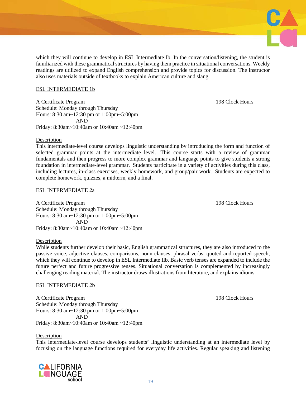

#### ESL INTERMEDIATE 1b

A Certificate Program 2008 Clock Hours 2008 Clock Hours 2008 Clock Hours 2008 Clock Hours Schedule: Monday through Thursday Hours: 8:30 am~12:30 pm or 1:00pm~5:00pm AND Friday: 8:30am~10:40am or 10:40am ~12:40pm

#### Description

This intermediate-level course develops linguistic understanding by introducing the form and function of selected grammar points at the intermediate level. This course starts with a review of grammar fundamentals and then progress to more complex grammar and language points to give students a strong foundation in intermediate-level grammar. Students participate in a variety of activities during this class, including lectures, in-class exercises, weekly homework, and group/pair work. Students are expected to complete homework, quizzes, a midterm, and a final.

#### ESL INTERMEDIATE 2a

A Certificate Program 198 Clock Hours Schedule: Monday through Thursday Hours: 8:30 am~12:30 pm or 1:00pm~5:00pm AND Friday: 8:30am~10:40am or 10:40am ~12:40pm

Description

While students further develop their basic, English grammatical structures, they are also introduced to the passive voice, adjective clauses, comparisons, noun clauses, phrasal verbs, quoted and reported speech, which they will continue to develop in ESL Intermediate IIb. Basic verb tenses are expanded to include the future perfect and future progressive tenses. Situational conversation is complemented by increasingly challenging reading material. The instructor draws illustrations from literature, and explains idioms.

#### ESL INTERMEDIATE 2b

A Certificate Program 198 Clock Hours Schedule: Monday through Thursday Hours: 8:30 am~12:30 pm or 1:00pm~5:00pm AND Friday: 8:30am~10:40am or 10:40am ~12:40pm

**Description** 

This intermediate-level course develops students' linguistic understanding at an intermediate level by focusing on the language functions required for everyday life activities. Regular speaking and listening

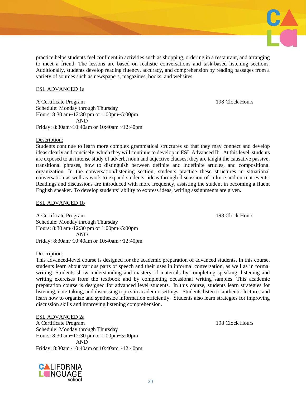practice helps students feel confident in activities such as shopping, ordering in a restaurant, and arranging to meet a friend. The lessons are based on realistic conversations and task-based listening sections. Additionally, students develop reading fluency, accuracy, and comprehension by reading passages from a

#### ESL ADVANCED 1a

A Certificate Program 2008 Clock Hours 2008 Clock Hours 2008 Clock Hours 2008 Clock Hours Schedule: Monday through Thursday Hours: 8:30 am~12:30 pm or 1:00pm~5:00pm AND Friday: 8:30am~10:40am or 10:40am ~12:40pm

variety of sources such as newspapers, magazines, books, and websites.

#### Description:

Students continue to learn more complex grammatical structures so that they may connect and develop ideas clearly and concisely, which they will continue to develop in ESL Advanced Ib. At this level, students are exposed to an intense study of adverb, noun and adjective clauses; they are taught the causative passive, transitional phrases, how to distinguish between definite and indefinite articles, and compositional organization. In the conversation/listening section, students practice these structures in situational conversation as well as work to expand students' ideas through discussion of culture and current events. Readings and discussions are introduced with more frequency, assisting the student in becoming a fluent English speaker. To develop students' ability to express ideas, writing assignments are given.

#### ESL ADVANCED 1b

A Certificate Program 198 Clock Hours Schedule: Monday through Thursday Hours: 8:30 am~12:30 pm or 1:00pm~5:00pm AND Friday: 8:30am~10:40am or 10:40am ~12:40pm

#### Description:

This advanced-level course is designed for the academic preparation of advanced students. In this course, students learn about various parts of speech and their uses in informal conversation, as well as in formal writing. Students show understanding and mastery of materials by completing speaking, listening and writing exercises from the textbook and by completing occasional writing samples. This academic preparation course is designed for advanced level students. In this course, students learn strategies for listening, note-taking, and discussing topics in academic settings. Students listen to authentic lectures and learn how to organize and synthesize information efficiently. Students also learn strategies for improving discussion skills and improving listening comprehension.

#### ESL ADVANCED 2a

A Certificate Program 198 Clock Hours Schedule: Monday through Thursday Hours: 8:30 am~12:30 pm or 1:00pm~5:00pm AND Friday: 8:30am~10:40am or 10:40am ~12:40pm

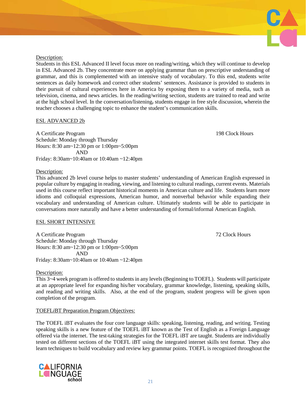

#### Description:

Students in this ESL Advanced II level focus more on reading/writing, which they will continue to develop in ESL Advanced 2b. They concentrate more on applying grammar than on prescriptive understanding of grammar, and this is complemented with an intensive study of vocabulary. To this end, students write sentences as daily homework and correct other students' sentences. Assistance is provided to students in their pursuit of cultural experiences here in America by exposing them to a variety of media, such as television, cinema, and news articles. In the reading/writing section, students are trained to read and write at the high school level. In the conversation/listening, students engage in free style discussion, wherein the teacher chooses a challenging topic to enhance the student's communication skills.

## ESL ADVANCED 2b

A Certificate Program 198 Clock Hours Schedule: Monday through Thursday Hours: 8:30 am~12:30 pm or 1:00pm~5:00pm AND Friday: 8:30am~10:40am or 10:40am ~12:40pm

## Description:

This advanced 2b level course helps to master students' understanding of American English expressed in popular culture by engaging in reading, viewing, and listening to cultural readings, current events. Materials used in this course reflect important historical moments in American culture and life. Students learn more idioms and colloquial expressions, American humor, and nonverbal behavior while expanding their vocabulary and understanding of American culture. Ultimately students will be able to participate in conversations more naturally and have a better understanding of formal/informal American English.

## ESL SHORT INTENSIVE

A Certificate Program 22 Clock Hours 22 Clock Hours 22 Clock Hours Schedule: Monday through Thursday Hours: 8:30 am~12:30 pm or 1:00pm~5:00pm AND Friday: 8:30am~10:40am or 10:40am ~12:40pm

## Description:

This 3~4 week program is offered to students in any levels (Beginning to TOEFL). Students will participate at an appropriate level for expanding his/her vocabulary, grammar knowledge, listening, speaking skills, and reading and writing skills. Also, at the end of the program, student progress will be given upon completion of the program.

# TOEFL*i*BT Preparation Program Objectives:

The TOEFL iBT evaluates the four core language skills: speaking, listening, reading, and writing. Testing speaking skills is a new feature of the TOEFL iBT known as the Test of English as a Foreign Language offered via the internet. The test-taking strategies for the TOEFL iBT are taught. Students are individually tested on different sections of the TOEFL iBT using the integrated internet skills test format. They also learn techniques to build vocabulary and review key grammar points. TOEFL is recognized throughout the

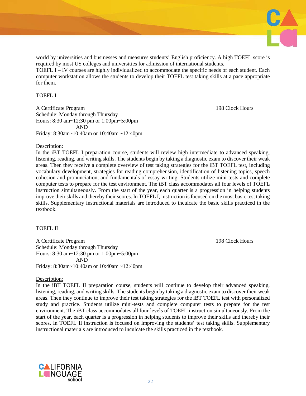

world by universities and businesses and measures students' English proficiency. A high TOEFL score is required by most US colleges and universities for admission of international students.

TOEFL I – IV courses are highly individualized to accommodate the specific needs of each student. Each computer workstation allows the students to develop their TOEFL test taking skills at a pace appropriate for them.

## TOEFL I

A Certificate Program 198 Clock Hours Schedule: Monday through Thursday Hours: 8:30 am~12:30 pm or 1:00pm~5:00pm AND Friday: 8:30am~10:40am or 10:40am ~12:40pm

#### Description:

In the iBT TOEFL I preparation course, students will review high intermediate to advanced speaking, listening, reading, and writing skills. The students begin by taking a diagnostic exam to discover their weak areas. Then they receive a complete overview of test taking strategies for the iBT TOEFL test, including vocabulary development, strategies for reading comprehension, identification of listening topics, speech cohesion and pronunciation, and fundamentals of essay writing. Students utilize mini-tests and complete computer tests to prepare for the test environment. The iBT class accommodates all four levels of TOEFL instruction simultaneously. From the start of the year, each quarter is a progression in helping students improve their skills and thereby their scores. In TOEFL I, instruction is focused on the most basic test taking skills. Supplementary instructional materials are introduced to inculcate the basic skills practiced in the textbook.

## TOEFL II

A Certificate Program 2008 Clock Hours 2008 Clock Hours 2008 Clock Hours 2008 Clock Hours Schedule: Monday through Thursday Hours: 8:30 am~12:30 pm or 1:00pm~5:00pm AND Friday: 8:30am~10:40am or 10:40am ~12:40pm

# Description:

In the iBT TOEFL II preparation course, students will continue to develop their advanced speaking, listening, reading, and writing skills. The students begin by taking a diagnostic exam to discover their weak areas. Then they continue to improve their test taking strategies for the iBT TOEFL test with personalized study and practice. Students utilize mini-tests and complete computer tests to prepare for the test environment. The iBT class accommodates all four levels of TOEFL instruction simultaneously. From the start of the year, each quarter is a progression in helping students to improve their skills and thereby their scores. In TOEFL II instruction is focused on improving the students' test taking skills. Supplementary instructional materials are introduced to inculcate the skills practiced in the textbook.

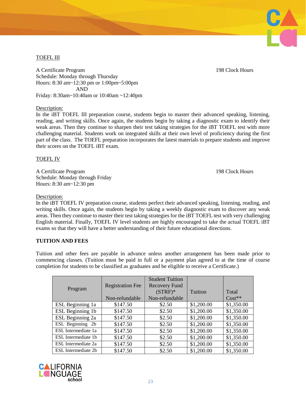# TOEFL III

A Certificate Program 2008 Clock Hours 2008 Clock Hours 2008 Clock Hours 2008 Clock Hours Schedule: Monday through Thursday Hours: 8:30 am~12:30 pm or 1:00pm~5:00pm AND Friday: 8:30am~10:40am or 10:40am ~12:40pm

Description:

In the iBT TOEFL III preparation course, students begin to master their advanced speaking, listening, reading, and writing skills. Once again, the students begin by taking a diagnostic exam to identify their weak areas. Then they continue to sharpen their test taking strategies for the iBT TOEFL test with more challenging material. Students work on integrated skills at their own level of proficiency during the first part of the class. The TOEFL preparation incorporates the latest materials to prepare students and improve their scores on the TOEFL iBT exam.

#### TOEFL IV

A Certificate Program 198 Clock Hours Schedule: Monday through Friday Hours: 8:30 am~12:30 pm

#### Description:

In the iBT TOEFL IV preparation course, students perfect their advanced speaking, listening, reading, and writing skills. Once again, the students begin by taking a weekly diagnostic exam to discover any weak areas. Then they continue to master their test taking strategies for the iBT TOEFL test with very challenging English material. Finally, TOEFL IV level students are highly encouraged to take the actual TOEFL iBT exams so that they will have a better understanding of their future educational directions.

#### **TUITION AND FEES**

Tuition and other fees are payable in advance unless another arrangement has been made prior to commencing classes. (Tuition must be paid in full or a payment plan agreed to at the time of course completion for students to be classified as graduates and be eligible to receive a Certificate.)

| Program             | <b>Registration Fee</b><br>Non-refundable | <b>Student Tuition</b><br><b>Recovery Fund</b><br>$(STRF)^*$<br>Non-refundable | Tuition    | Total<br>$Cost**$ |
|---------------------|-------------------------------------------|--------------------------------------------------------------------------------|------------|-------------------|
| ESL Beginning 1a    | \$147.50                                  | \$2.50                                                                         | \$1,200.00 | \$1,350.00        |
| ESL Beginning 1b    | \$147.50                                  | \$2.50                                                                         | \$1,200.00 | \$1,350.00        |
| ESL Beginning 2a    | \$147.50                                  | \$2.50                                                                         | \$1,200.00 | \$1,350.00        |
| ESL Beginning 2b    | \$147.50                                  | \$2.50                                                                         | \$1,200.00 | \$1,350.00        |
| ESL Intermediate 1a | \$147.50                                  | \$2.50                                                                         | \$1,200.00 | \$1,350.00        |
| ESL Intermediate 1b | \$147.50                                  | \$2.50                                                                         | \$1,200.00 | \$1,350.00        |
| ESL Intermediate 2a | \$147.50                                  | \$2.50                                                                         | \$1,200.00 | \$1,350.00        |
| ESL Intermediate 2b | \$147.50                                  | \$2.50                                                                         | \$1,200.00 | \$1,350.00        |



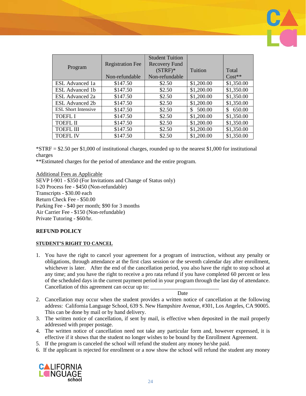|                            |                         | <b>Student Tuition</b> |              |            |
|----------------------------|-------------------------|------------------------|--------------|------------|
|                            | <b>Registration Fee</b> | Recovery Fund          |              |            |
| Program                    |                         | $(STRF)^*$             | Tuition      | Total      |
|                            | Non-refundable          | Non-refundable         |              | $Cost**$   |
| ESL Advanced 1a            | \$147.50                | \$2.50                 | \$1,200.00   | \$1,350.00 |
| <b>ESL</b> Advanced 1b     | \$147.50                | \$2.50                 | \$1,200.00   | \$1,350.00 |
| ESL Advanced 2a            | \$147.50                | \$2.50                 | \$1,200.00   | \$1,350.00 |
| <b>ESL Advanced 2b</b>     | \$147.50                | \$2.50                 | \$1,200.00   | \$1,350.00 |
| <b>ESL Short Intensive</b> | \$147.50                | \$2.50                 | 500.00<br>\$ | 650.00     |
| <b>TOEFL I</b>             | \$147.50                | \$2.50                 | \$1,200.00   | \$1,350.00 |
| <b>TOEFL II</b>            | \$147.50                | \$2.50                 | \$1,200.00   | \$1,350.00 |
| <b>TOEFL III</b>           | \$147.50                | \$2.50                 | \$1,200.00   | \$1,350.00 |
| <b>TOEFLIV</b>             | \$147.50                | \$2.50                 | \$1,200.00   | \$1,350.00 |

\*STRF = \$2.50 per \$1,000 of institutional charges, rounded up to the nearest \$1,000 for institutional charges

\*\*Estimated charges for the period of attendance and the entire program.

Additional Fees as Applicable SEVP I-901 - \$350 (For Invitations and Change of Status only) I-20 Process fee - \$450 (Non-refundable) Transcripts - \$30.00 each Return Check Fee - \$50.00 Parking Fee - \$40 per month; \$90 for 3 months Air Carrier Fee - \$150 (Non-refundable) Private Tutoring - \$60/hr.

# **REFUND POLICY**

## **STUDENT'S RIGHT TO CANCEL**

1. You have the right to cancel your agreement for a program of instruction, without any penalty or obligations, through attendance at the first class session or the seventh calendar day after enrollment, whichever is later. After the end of the cancellation period, you also have the right to stop school at any time; and you have the right to receive a pro rata refund if you have completed 60 percent or less of the scheduled days in the current payment period in your program through the last day of attendance. Cancellation of this agreement can occur up to:

**Date Date** 

- 2. Cancellation may occur when the student provides a written notice of cancellation at the following address: California Language School, 639 S. New Hampshire Avenue, #301, Los Angeles, CA 90005. This can be done by mail or by hand delivery.
- 3. The written notice of cancellation, if sent by mail, is effective when deposited in the mail properly addressed with proper postage.
- 4. The written notice of cancellation need not take any particular form and, however expressed, it is effective if it shows that the student no longer wishes to be bound by the Enrollment Agreement.
- 5. If the program is canceled the school will refund the student any money he/she paid.
- 6. If the applicant is rejected for enrollment or a now show the school will refund the student any money

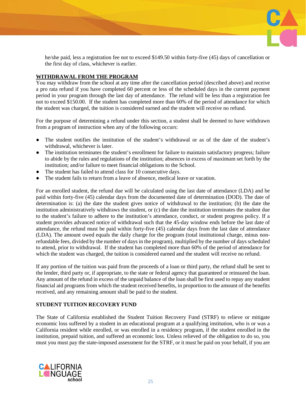

he/she paid, less a registration fee not to exceed \$149.50 within forty-five (45) days of cancellation or the first day of class, whichever is earlier.

## **WITHDRAWAL FROM THE PROGRAM**

You may withdraw from the school at any time after the cancellation period (described above) and receive a pro rata refund if you have completed 60 percent or less of the scheduled days in the current payment period in your program through the last day of attendance. The refund will be less than a registration fee not to exceed \$150.00. If the student has completed more than 60% of the period of attendance for which the student was charged, the tuition is considered earned and the student will receive no refund.

For the purpose of determining a refund under this section, a student shall be deemed to have withdrawn from a program of instruction when any of the following occurs:

- The student notifies the institution of the student's withdrawal or as of the date of the student's withdrawal, whichever is later.
- The institution terminates the student's enrollment for failure to maintain satisfactory progress; failure to abide by the rules and regulations of the institution; absences in excess of maximum set forth by the institution; and/or failure to meet financial obligations to the School.
- The student has failed to attend class for 10 consecutive days.
- The student fails to return from a leave of absence, medical leave or vacation.

For an enrolled student, the refund due will be calculated using the last date of attendance (LDA) and be paid within forty-five (45) calendar days from the documented date of determination (DOD). The date of determination is: (a) the date the student gives notice of withdrawal to the institution; (b) the date the institution administratively withdraws the student, or (c) the date the institution terminates the student due to the student's failure to adhere to the institution's attendance, conduct, or student progress policy. If a student provides advanced notice of withdrawal such that the 45-day window ends before the last date of attendance, the refund must be paid within forty-five (45) calendar days from the last date of attendance (LDA). The amount owed equals the daily charge for the program (total institutional charge, minus nonrefundable fees, divided by the number of days in the program), multiplied by the number of days scheduled to attend, prior to withdrawal. If the student has completed more than 60% of the period of attendance for which the student was charged, the tuition is considered earned and the student will receive no refund.

If any portion of the tuition was paid from the proceeds of a loan or third party, the refund shall be sent to the lender, third party or, if appropriate, to the state or federal agency that guaranteed or reinsured the loan. Any amount of the refund in excess of the unpaid balance of the loan shall be first used to repay any student financial aid programs from which the student received benefits, in proportion to the amount of the benefits received, and any remaining amount shall be paid to the student.

## **STUDENT TUITION RECOVERY FUND**

The State of California established the Student Tuition Recovery Fund (STRF) to relieve or mitigate economic loss suffered by a student in an educational program at a qualifying institution, who is or was a California resident while enrolled, or was enrolled in a residency program, if the student enrolled in the institution, prepaid tuition, and suffered an economic loss. Unless relieved of the obligation to do so, you must you must pay the state-imposed assessment for the STRF, or it must be paid on your behalf, if you are

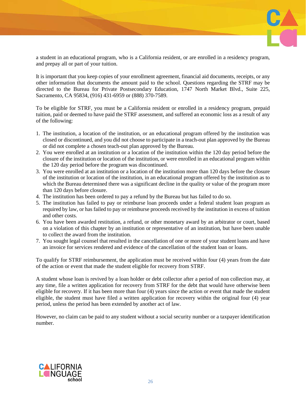

a student in an educational program, who is a California resident, or are enrolled in a residency program, and prepay all or part of your tuition.

It is important that you keep copies of your enrollment agreement, financial aid documents, receipts, or any other information that documents the amount paid to the school. Questions regarding the STRF may be directed to the Bureau for Private Postsecondary Education, 1747 North Market Blvd., Suite 225, Sacramento, CA 95834, (916) 431-6959 or (888) 370-7589.

To be eligible for STRF, you must be a California resident or enrolled in a residency program, prepaid tuition, paid or deemed to have paid the STRF assessment, and suffered an economic loss as a result of any of the following:

- 1. The institution, a location of the institution, or an educational program offered by the institution was closed or discontinued, and you did not choose to participate in a teach-out plan approved by the Bureau or did not complete a chosen teach-out plan approved by the Bureau.
- 2. You were enrolled at an institution or a location of the institution within the 120 day period before the closure of the institution or location of the institution, or were enrolled in an educational program within the 120 day period before the program was discontinued.
- 3. You were enrolled at an institution or a location of the institution more than 120 days before the closure of the institution or location of the institution, in an educational program offered by the institution as to which the Bureau determined there was a significant decline in the quality or value of the program more than 120 days before closure.
- 4. The institution has been ordered to pay a refund by the Bureau but has failed to do so.
- 5. The institution has failed to pay or reimburse loan proceeds under a federal student loan program as required by law, or has failed to pay or reimburse proceeds received by the institution in excess of tuition and other costs.
- 6. You have been awarded restitution, a refund, or other monetary award by an arbitrator or court, based on a violation of this chapter by an institution or representative of an institution, but have been unable to collect the award from the institution.
- 7. You sought legal counsel that resulted in the cancellation of one or more of your student loans and have an invoice for services rendered and evidence of the cancellation of the student loan or loans.

To qualify for STRF reimbursement, the application must be received within four (4) years from the date of the action or event that made the student eligible for recovery from STRF.

A student whose loan is revived by a loan holder or debt collector after a period of non collection may, at any time, file a written application for recovery from STRF for the debt that would have otherwise been eligible for recovery. If it has been more than four (4) years since the action or event that made the student eligible, the student must have filed a written application for recovery within the original four (4) year period, unless the period has been extended by another act of law.

However, no claim can be paid to any student without a social security number or a taxpayer identification number.